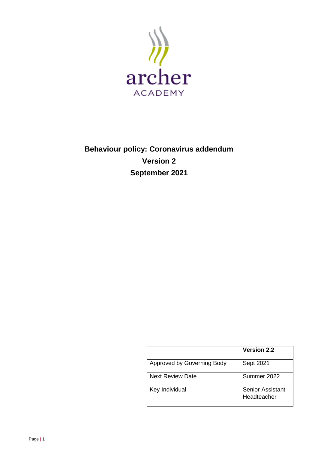

# **Behaviour policy: Coronavirus addendum Version 2 September 2021**

|                            | <b>Version 2.2</b>                     |
|----------------------------|----------------------------------------|
| Approved by Governing Body | Sept 2021                              |
| <b>Next Review Date</b>    | Summer 2022                            |
| Key Individual             | <b>Senior Assistant</b><br>Headteacher |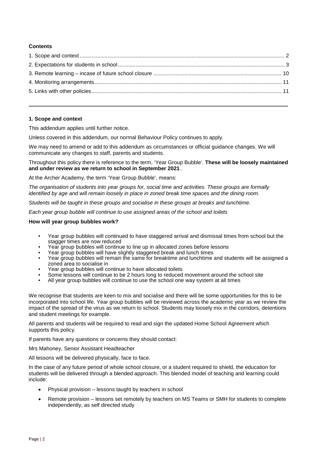### **Contents**

#### <span id="page-1-0"></span>**1. Scope and context**

This addendum applies until further notice.

Unless covered in this addendum, our normal Behaviour Policy continues to apply.

We may need to amend or add to this addendum as circumstances or official guidance changes. We will communicate any changes to staff, parents and students.

Throughout this policy there is reference to the term, 'Year Group Bubble'. **These will be loosely maintained and under review as we return to school in September 2021**..

At the Archer Academy, the term 'Year Group Bubble', means:

*The organisation of students into year groups for, social time and activities. These groups are formally identified by age and will remain loosely in place in zoned break time spaces and the dining room.* 

*Students will be taught in these groups and socialise in these groups at breaks and lunchtime.* 

*Each year group bubble will continue to use assigned areas of the school and toilets*

#### **How will year group bubbles work?**

- Year group bubbles will continued to have staggered arrival and dismissal times from school but the stagger times are now reduced
- Year group bubbles will continue to line up in allocated zones before lessons
- Year group bubbles will have slightly staggered break and lunch times
- Year group bubbles will remain the same for breaktime and lunchtime and students will be assigned a zoned area to socialise in
- Year group bubbles will continue to have allocated toilets
- Some lessons will continue to be 2 hours long to reduced movement around the school site
- All year group bubbles will continue to use the school one way system at all times

We recognise that students are keen to mix and socialise and there will be some opportunities for this to be incorporated into school life. Year group bubbles will be reviewed across the academic year as we review the impact of the spread of the virus as we return to school. Students may loosely mix in the corridors, detentions and student meetings for example.

All parents and students will be required to read and sign the updated Home School Agreement which supports this policy.

If parents have any questions or concerns they should contact:

Mrs Mahoney, Senior Assistant Headteacher

All lessons will be delivered physically, face to face.

In the case of any future period of whole school closure, or a student required to shield, the education for students will be delivered through a blended approach. This blended model of teaching and learning could include:

- Physical provision lessons taught by teachers in school
- Remote provision lessons set remotely by teachers on MS Teams or SMH for students to complete independently, as self directed study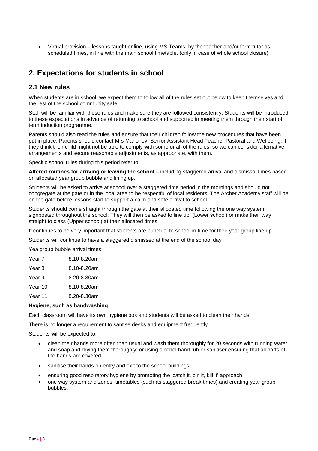• Virtual provision – lessons taught online, using MS Teams, by the teacher and/or form tutor as scheduled times, in line with the main school timetable. (only in case of whole school closure)

# <span id="page-2-0"></span>**2. Expectations for students in school**

# **2.1 New rules**

When students are in school, we expect them to follow all of the rules set out below to keep themselves and the rest of the school community safe.

Staff will be familiar with these rules and make sure they are followed consistently. Students will be introduced to these expectations in advance of returning to school and supported in meeting them through their start of term induction programme.

Parents should also read the rules and ensure that their children follow the new procedures that have been put in place. Parents should contact Mrs Mahoney, Senior Assistant Head Teacher Pastoral and Wellbeing, if they think their child might not be able to comply with some or all of the rules, so we can consider alternative arrangements and secure reasonable adjustments, as appropriate, with them.

Specific school rules during this period refer to:

**Altered routines for arriving or leaving the school –** including staggered arrival and dismissal times based on allocated year group bubble and lining up.

Students will be asked to arrive at school over a staggered time period in the mornings and should not congregate at the gate or in the local area to be respectful of local residents. The Archer Academy staff will be on the gate before lessons start to support a calm and safe arrival to school.

Students should come straight through the gate at their allocated time following the one way system signposted throughout the school. They will then be asked to line up, (Lower school) or make their way straight to class (Upper school) at their allocated times.

It continues to be very important that students are punctual to school in time for their year group line up.

Students will continue to have a staggered dismissed at the end of the school day

Yea group bubble arrival times:

| Year 7  | 8.10-8.20am |
|---------|-------------|
| Year 8  | 8.10-8.20am |
| Year 9  | 8.20-8.30am |
| Year 10 | 8.10-8.20am |
| Year 11 | 8.20-8.30am |
|         |             |

#### **Hygiene, such as handwashing**

Each classroom will have its own hygiene box and students will be asked to clean their hands.

There is no longer a requirement to santise desks and equipment frequently.

Students will be expected to:

- clean their hands more often than usual and wash them thoroughly for 20 seconds with running water and soap and drying them thoroughly; or using alcohol hand rub or sanitiser ensuring that all parts of the hands are covered
- sanitise their hands on entry and exit to the school buildings
- ensuring good respiratory hygiene by promoting the 'catch it, bin it, kill it' approach
- one way system and zones, timetables (such as staggered break times) and creating year group bubbles.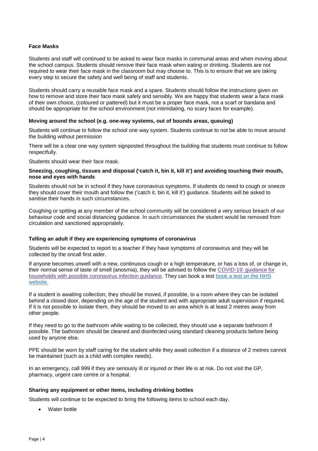#### **Face Masks**

Students and staff will continued to be asked to wear face masks in communal areas and when moving about the school campus. Students should remove their face mask when eating or drinking. Students are not required to wear their face mask in the classroom but may choose to. This is to ensure that we are taking every step to secure the safety and well being of staff and students.

Students should carry a reusable face mask and a spare. Students should follow the instructions given on how to remove and store their face mask safely and sensibly. We are happy that students wear a face mask of their own choice, (coloured or pattered) but it must be a proper face mask, not a scarf or bandana and should be appropriate for the school environment (not intimidating, no scary faces for example).

#### **Moving around the school (e.g. one-way systems, out of bounds areas, queuing)**

Students will continue to follow the school one way system. Students continue to not be able to move around the building without permission

There will be a clear one way system signposted throughout the building that students must continue to follow respectfully.

Students should wear their face mask.

#### **Sneezing, coughing, tissues and disposal ('catch it, bin it, kill it') and avoiding touching their mouth, nose and eyes with hands**

Students should not be in school if they have coronavirus symptoms. If students do need to cough or sneeze they should cover their mouth and follow the ('catch it, bin it, kill it') guidance. Students will be asked to sanitise their hands in such circumstances.

Coughing or spitting at any member of the school community will be considered a very serious breach of our behaviour code and social distancing guidance. In such circumstances the student would be removed from circulation and sanctioned appropriately.

#### **Telling an adult if they are experiencing symptoms of coronavirus**

Students will be expected to report to a teacher if they have symptoms of coronavirus and they will be collected by the oncall first aider.

If anyone becomes unwell with a new, continuous cough or a high temperature, or has a loss of, or change in, their normal sense of taste of smell (anosmia), they will be advised to follow the [COVID-19:](https://www.gov.uk/government/publications/covid-19-stay-at-home-guidance) guidance for households with possible [coronavirus](https://www.gov.uk/government/publications/covid-19-stay-at-home-guidance) infection guidance. They can book a test [book](https://www.nhs.uk/conditions/coronavirus-covid-19/testing-and-tracing/ask-for-a-test-to-check-if-you-have-coronavirus/) a test on the NHS [website.](https://www.nhs.uk/conditions/coronavirus-covid-19/testing-and-tracing/ask-for-a-test-to-check-if-you-have-coronavirus/)

If a student is awaiting collection, they should be moved, if possible, to a room where they can be isolated behind a closed door, depending on the age of the student and with appropriate adult supervision if required. If it is not possible to isolate them, they should be moved to an area which is at least 2 metres away from other people.

If they need to go to the bathroom while waiting to be collected, they should use a separate bathroom if possible. The bathroom should be cleaned and disinfected using standard cleaning products before being used by anyone else.

PPE should be worn by staff caring for the student while they await collection if a distance of 2 metres cannot be maintained (such as a child with complex needs).

In an emergency, call 999 if they are seriously ill or injured or their life is at risk. Do not visit the GP, pharmacy, urgent care centre or a hospital.

#### **Sharing any equipment or other items, including drinking bottles**

Students will continue to be expected to bring the following items to school each day.

Water bottle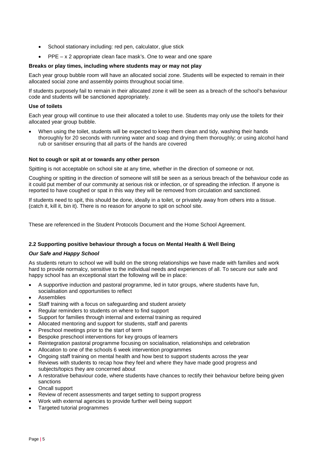- School stationary including: red pen, calculator, glue stick
- PPE x 2 appropriate clean face mask's. One to wear and one spare

#### **Breaks or play times, including where students may or may not play**

Each year group bubble room will have an allocated social zone. Students will be expected to remain in their allocated social zone and assembly points throughout social time.

If students purposely fail to remain in their allocated zone it will be seen as a breach of the school's behaviour code and students will be sanctioned appropriately.

#### **Use of toilets**

Each year group will continue to use their allocated a toilet to use. Students may only use the toilets for their allocated year group bubble.

When using the toilet, students will be expected to keep them clean and tidy, washing their hands thoroughly for 20 seconds with running water and soap and drying them thoroughly; or using alcohol hand rub or sanitiser ensuring that all parts of the hands are covered

#### **Not to cough or spit at or towards any other person**

Spitting is not acceptable on school site at any time, whether in the direction of someone or not.

Coughing or spitting in the direction of someone will still be seen as a serious breach of the behaviour code as it could put member of our community at serious risk or infection, or of spreading the infection. If anyone is reported to have coughed or spat in this way they will be removed from circulation and sanctioned.

If students need to spit, this should be done, ideally in a toilet, or privately away from others into a tissue. (catch it, kill it, bin it). There is no reason for anyone to spit on school site.

These are referenced in the Student Protocols Document and the Home School Agreement.

#### **2.2 Supporting positive behaviour through a focus on Mental Health & Well Being**

#### *Our Safe and Happy School*

As students return to school we will build on the strong relationships we have made with families and work hard to provide normalcy, sensitive to the individual needs and experiences of all. To secure our safe and happy school has an exceptional start the following will be in place:

- A supportive induction and pastoral programme, led in tutor groups, where students have fun, socialisation and opportunities to reflect
- **Assemblies**
- Staff training with a focus on safeguarding and student anxiety
- Regular reminders to students on where to find support
- Support for families through internal and external training as required
- Allocated mentoring and support for students, staff and parents
- Preschool meetings prior to the start of term
- Bespoke preschool interventions for key groups of learners
- Reintegration pastoral programme focusing on socialisation, relationships and celebration
- Allocation to one of the schools 6 week intervention programmes
- Ongoing staff training on mental health and how best to support students across the year
- Reviews with students to recap how they feel and where they have made good progress and subjects/topics they are concerned about
- A restorative behaviour code, where students have chances to rectify their behaviour before being given sanctions
- Oncall support
- Review of recent assessments and target setting to support progress
- Work with external agencies to provide further well being support
- Targeted tutorial programmes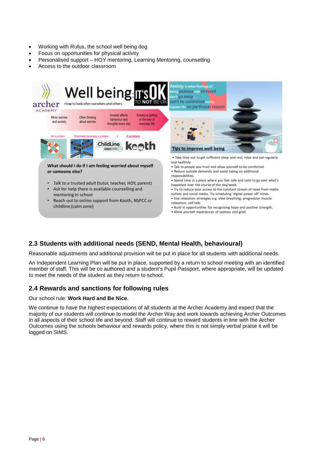- Working with Rufus, the school well being dog
- Focus on opportunities for physical activity
- Personalised support HOY mentoring, Learning Mentoring, counselling
- Access to the outdoor classroom



# **2.3 Students with additional needs (SEND, Mental Health, behavioural)**

Reasonable adjustments and additional provision will be put in place for all students with additional needs.

An Independent Learning Plan will be put in place, supported by a return to school meeting with an identified member of staff. This will be co authored and a student's Pupil Passport, where appropriate, will be updated to meet the needs of the student as they return to school.

# **2.4 Rewards and sanctions for following rules**

#### Our school rule: **Work Hard and Be Nice**.

We continue to have the highest expectations of all students at the Archer Academy and expect that the majority of our students will continue to model the Archer Way and work towards achieving Archer Outcomes in all aspects of their school life and beyond. Staff will continue to reward students in line with the Archer Outcomes using the schools behaviour and rewards policy, where this is not simply verbal praise it will be logged on SIMS.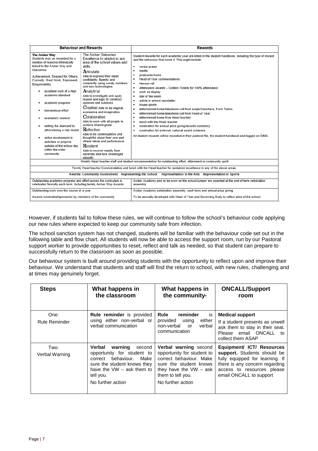|                                                                                                                                                                                                                                                                                                                                                                                                                                                                                                                                              | <b>Behaviour and Rewards</b>                                                                                                                                                                                                                                                                                                                                                                                                                                                                                                                                                                                                                                                                                      | Rewards                                                                                                                                                                                                                                                                                                                                                                                                                                                                                                                                                                                                                                                                                                                                                                                                                                                                                                            |  |
|----------------------------------------------------------------------------------------------------------------------------------------------------------------------------------------------------------------------------------------------------------------------------------------------------------------------------------------------------------------------------------------------------------------------------------------------------------------------------------------------------------------------------------------------|-------------------------------------------------------------------------------------------------------------------------------------------------------------------------------------------------------------------------------------------------------------------------------------------------------------------------------------------------------------------------------------------------------------------------------------------------------------------------------------------------------------------------------------------------------------------------------------------------------------------------------------------------------------------------------------------------------------------|--------------------------------------------------------------------------------------------------------------------------------------------------------------------------------------------------------------------------------------------------------------------------------------------------------------------------------------------------------------------------------------------------------------------------------------------------------------------------------------------------------------------------------------------------------------------------------------------------------------------------------------------------------------------------------------------------------------------------------------------------------------------------------------------------------------------------------------------------------------------------------------------------------------------|--|
| The Archer Way<br>Students may be rewarded for a<br>number of reasons intrinsically<br>linked to the Archer Way and<br>Outcomes:<br>Achievement, Respect for Others,<br>Curiosity, Hard Work, Enjoyment,<br>Responsibility<br>excellent work of a high<br>٠<br>academic standard<br>academic progress<br>٠<br>tremendous effort<br>exemplary conduct<br>٠<br>setting the standard to<br>٠<br>others/being a role model<br>active involvement in<br>٠<br>activities or projects<br>outside of the school day<br>within the wider<br>community | The Archer Outcomes<br>Excellence in relation to any<br>area of the school values and<br>skills:<br>Articulate<br>Able to express their ideas<br>confidently, fluently and<br>coherently using words, numbers<br>and new technologies.<br>Analytical<br>Able to investigate and apply<br>reason and logic to construct<br>opinions and evidence.<br>Creative Able to be original.<br>expressive and imaginative.<br>Collaborative<br>Able to work with all people to<br>achieve shared goals.<br><b>Reflective</b><br>Able to be contemplative and<br>thoughtful about their own and<br>others' ideas and performance.<br>Resilient<br>Able to recover readily from<br>adversity and face challenges<br>robustly. | Student rewards for each academic year are listed in the student handbook, including the type of reward<br>and the behaviour that earns it. This might include:<br>verbal praise<br>٠<br>merits<br>٠<br>postcards home<br>٠<br>Head of Year commendations<br>٠<br>Honour roll<br>٠<br>attendance awards - Golden Tickets for 100% attendance<br>٠<br>٠<br>work on display<br>star of the week<br>٠<br>article in school newsletter<br>٠<br>٠<br>house points<br>letters/email home/telephone call from subject teachers, Form Tutors<br>٠<br>letters/email home/telephone call from Head of Year<br>٠<br>letters/email home from Head teacher<br>٠<br>lunch with the Head teacher<br>٠<br>٠<br>nomination for annual prize giving/awards ceremony<br>nomination for external, national award schemes<br>٠<br>All student rewards will be recorded in their pastoral file, the student handbook and logged on SIMS. |  |
|                                                                                                                                                                                                                                                                                                                                                                                                                                                                                                                                              |                                                                                                                                                                                                                                                                                                                                                                                                                                                                                                                                                                                                                                                                                                                   | Weekly Head teacher staff and student recommendation for outstanding effort, attainment or community spirit                                                                                                                                                                                                                                                                                                                                                                                                                                                                                                                                                                                                                                                                                                                                                                                                        |  |
|                                                                                                                                                                                                                                                                                                                                                                                                                                                                                                                                              |                                                                                                                                                                                                                                                                                                                                                                                                                                                                                                                                                                                                                                                                                                                   | Termly Head teacher Commendation and lunch with the Head teacher for sustained excellence in any of the above areas.                                                                                                                                                                                                                                                                                                                                                                                                                                                                                                                                                                                                                                                                                                                                                                                               |  |
| Awards: Community involvement Representing the School<br>Representation in the Arts Representation in Sports                                                                                                                                                                                                                                                                                                                                                                                                                                 |                                                                                                                                                                                                                                                                                                                                                                                                                                                                                                                                                                                                                                                                                                                   |                                                                                                                                                                                                                                                                                                                                                                                                                                                                                                                                                                                                                                                                                                                                                                                                                                                                                                                    |  |
| Outstanding academic progress and effort across the curriculum is<br>celebrated formally each term. Including termly Archer Way Awards.                                                                                                                                                                                                                                                                                                                                                                                                      |                                                                                                                                                                                                                                                                                                                                                                                                                                                                                                                                                                                                                                                                                                                   | Archer Academy pins to be worn on the school jumper are awarded at the end of term celebration<br>assembly                                                                                                                                                                                                                                                                                                                                                                                                                                                                                                                                                                                                                                                                                                                                                                                                         |  |
| Outstanding work over the course of a year<br>Archer Academy celebration assembly, each term and annual prize giving                                                                                                                                                                                                                                                                                                                                                                                                                         |                                                                                                                                                                                                                                                                                                                                                                                                                                                                                                                                                                                                                                                                                                                   |                                                                                                                                                                                                                                                                                                                                                                                                                                                                                                                                                                                                                                                                                                                                                                                                                                                                                                                    |  |
| Awards nominated/sponsored by members of the community                                                                                                                                                                                                                                                                                                                                                                                                                                                                                       |                                                                                                                                                                                                                                                                                                                                                                                                                                                                                                                                                                                                                                                                                                                   | To be annually developed with Head of Year and Governing Body to reflect aims of the school.                                                                                                                                                                                                                                                                                                                                                                                                                                                                                                                                                                                                                                                                                                                                                                                                                       |  |

However, if students fail to follow these rules, we will continue to follow the school's behaviour code applying our new rules where expected to keep our community safe from infection.

The school sanction system has not changed, students will be familiar with the behaviour code set out in the following table and flow chart. All students will now be able to access the support room, run by our Pastoral support worker to provide opportunities to reset, reflect and talk as needed, so that student can prepare to successfully return to the classroom as soon as possible.

Our behaviour system is built around providing students with the opportunity to reflect upon and improve their behaviour. We understand that students and staff will find the return to school, with new rules, challenging and at times may genuinely forget.

| <b>Steps</b>                 | What happens in<br>the classroom                                                                                                                                                           | What happens in<br>the community-                                                                                                                                                     | <b>ONCALL/Support</b><br>room                                                                                                                                                          |
|------------------------------|--------------------------------------------------------------------------------------------------------------------------------------------------------------------------------------------|---------------------------------------------------------------------------------------------------------------------------------------------------------------------------------------|----------------------------------------------------------------------------------------------------------------------------------------------------------------------------------------|
| One:<br><b>Rule Reminder</b> | <b>Rule reminder</b> is provided<br>using either non-verbal or<br>verbal communication                                                                                                     | Rule<br>reminder<br>is<br>provided<br>either<br>using<br>non-verbal<br>verbal<br>or<br>communication                                                                                  | <b>Medical support</b><br>If a student presents as unwell<br>ask them to stay in their seat.<br>Please email ONCALL<br>to<br>collect them ASAP                                         |
| Two:<br>Verbal Warning       | Verbal<br>warning<br>second<br>opportunity for student to<br>behaviour.<br>Make<br>correct<br>sure the student knows they<br>have the $vw - ask$ them to<br>tell you.<br>No further action | <b>Verbal warning second</b><br>opportunity for student to<br>correct behaviour. Make<br>sure the student knows<br>they have the $VW - ask$<br>them to tell you.<br>No further action | Equipment/ ICT/ Resources<br>support. Students should be<br>fully equipped for learning. If<br>there is any concern regarding<br>access to resources please<br>email ONCALL to support |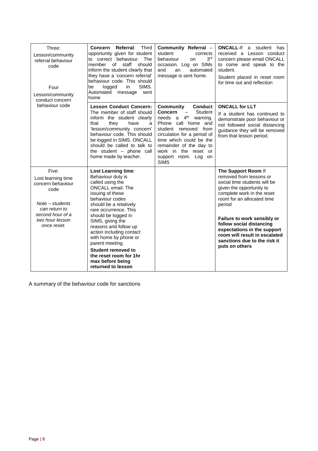| Three:<br>Lesson/community<br>referral behaviour<br>code<br>Four<br>Lesson/community<br>conduct concern<br>behaviour code                            | <b>Third</b><br>Referral:<br><b>Concern</b><br>opportunity given for student<br>to correct behaviour. The<br>member<br>of<br>staff<br>should<br>inform the student clearly that<br>they have a 'concern referral'<br>behaviour code. This should<br>SIMS.<br>logged<br>in<br>be<br>Automated<br>message<br>sent<br>home                                                                                                         | Community Referral -<br>student<br>corrects<br>3 <sup>rd</sup><br>behaviour<br>on<br>occasion. Log on SIMs<br>automated<br>and<br>an<br>message is sent home.                                                                                                                                                                  | <b>ONCALL-If</b> a student has<br>received a Lesson conduct<br>concern please email ONCALL<br>to come and speak to the<br>student.<br>Student placed in reset room<br>for time out and reflection                                                                                                                                                             |
|------------------------------------------------------------------------------------------------------------------------------------------------------|---------------------------------------------------------------------------------------------------------------------------------------------------------------------------------------------------------------------------------------------------------------------------------------------------------------------------------------------------------------------------------------------------------------------------------|--------------------------------------------------------------------------------------------------------------------------------------------------------------------------------------------------------------------------------------------------------------------------------------------------------------------------------|---------------------------------------------------------------------------------------------------------------------------------------------------------------------------------------------------------------------------------------------------------------------------------------------------------------------------------------------------------------|
|                                                                                                                                                      | <b>Lesson Conduct Concern:</b><br>The member of staff should<br>inform the student clearly<br>they<br>have<br>that<br>a<br>'lesson/community concern'<br>behaviour code. This should<br>be logged in SIMS. ONCALL<br>should be called to talk to<br>the student $-$ phone call<br>home made by teacher.                                                                                                                         | <b>Conduct</b><br>Community<br><b>Concern</b><br>Student<br>$\overline{\phantom{m}}$<br>needs a 4 <sup>th</sup><br>warning.<br>Phone call home and<br>student removed from<br>circulation for a period of<br>time which could be the<br>remainder of the day to<br>work in the reset or<br>support room. Log on<br><b>SIMS</b> | <b>ONCALL for LLT</b><br>If a student has continued to<br>demonstrate poor behaviour or<br>not followed social distancing<br>guidance they will be removed<br>from that lesson period.                                                                                                                                                                        |
| Five:<br>Lost learning time<br>concern behaviour<br>code<br>$Note - students$<br>can return to<br>second hour of a<br>two hour lesson<br>once reset. | <b>Lost Learning time:</b><br>Behaviour duty is<br>called using the<br>ONCALL email. The<br>issuing of these<br>behaviour codes<br>should be a relatively<br>rare occurrence. This<br>should be logged in<br>SIMS, giving the<br>reasons and follow up<br>action including contact<br>with home by phone or<br>parent meeting.<br><b>Student removed to</b><br>the reset room for 1hr<br>max before being<br>returned to lesson |                                                                                                                                                                                                                                                                                                                                | The Support Room If<br>removed from lessons or<br>social time students will be<br>given the opportunity to<br>complete work in the reset<br>room for an allocated time<br>period<br>Failure to work sensibly or<br>follow social distancing<br>expectations in the support<br>room will result in escalated<br>sanctions due to the risk it<br>puts on others |

A summary of the behaviour code for sanctions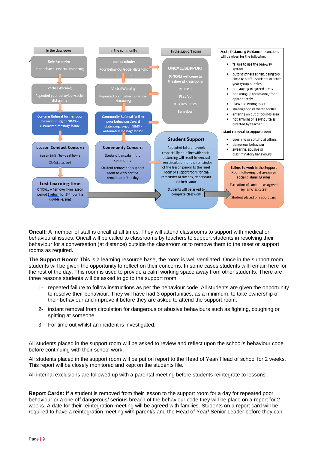

**Oncall:** A member of staff is oncall at all times. They will attend classrooms to support with medical or behavioural issues. Oncall will be called to classrooms by teachers to support students in resolving their behaviour for a conversation (at distance) outside the classroom or to remove them to the reset or support rooms as required.

**The Support Room**: This is a learning resource base, the room is well ventilated. Once in the support room students will be given the opportunity to reflect on their concerns. In some cases students will remain here for the rest of the day. This room is used to provide a calm working space away from other students. There are three reasons students will be asked to go to the support room

- 1- repeated failure to follow instructions as per the behaviour code. All students are given the opportunity to resolve their behaviour. They will have had 3 opportunities, as a minimum, to take ownership of their behaviour and improve it before they are asked to attend the support room.
- 2- instant removal from circulation for dangerous or abusive behaviours such as fighting, coughing or spitting at someone.
- 3- For time out whilst an incident is investigated.

All students placed in the support room will be asked to review and reflect upon the school's behaviour code before continuing with their school work.

All students placed in the support room will be put on report to the Head of Year/ Head of school for 2 weeks. This report will be closely monitored and kept on the students file.

All internal exclusions are followed up with a parental meeting before students reintegrate to lessons.

**Report Cards:** If a student is removed from their lesson to the support room for a day for repeated poor behaviour or a one off dangerous/ serious breach of the behaviour code they will be place on a report for 2 weeks. A date for their reintegration meeting will be agreed with families. Students on a report card will be required to have a reintegration meeting with parent/s and the Head of Year/ Senior Leader before they can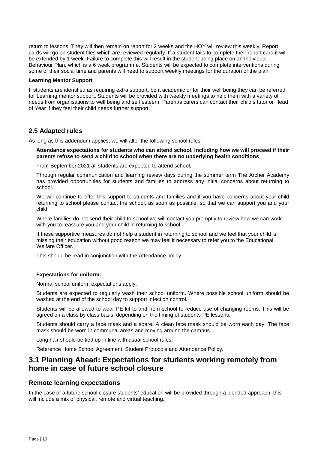return to lessons. They will then remain on report for 2 weeks and the HOY will review this weekly. Report cards will go on student files which are reviewed regularly. If a student fails to complete their report card it will be extended by 1 week. Failure to complete this will result in the student being place on an Individual Behaviour Plan, which is a 6 week programme. Students will be expected to complete interventions during some of their social time and parents will need to support weekly meetings for the duration of the plan

#### **Learning Mentor Support**

If students are identified as requiring extra support, be it academic or for their well being they can be referred for Learning mentor support. Students will be provided with weekly meetings to help them with a variety of needs from organisations to well being and self esteem. Parent/s carers can contact their child's tutor or Head of Year if they feel their child needs further support.

### **2.5 Adapted rules**

As long as this addendum applies, we will alter the following school rules.

**Attendance expectations for students who can attend school, including how we will proceed if their parents refuse to send a child to school when there are no underlying health conditions** 

From September 2021 all students are expected to attend school.

Through regular communication and learning review days during the summer term The Archer Academy has provided opportunities for students and families to address any initial concerns about returning to school.

We will continue to offer this support to students and families and if you have concerns about your child returning to school please contact the school, as soon as possible, so that we can support you and your child.

Where families do not send their child to school we will contact you promptly to review how we can work with you to reassure you and your child in returning to school.

If these supportive measures do not help a student in returning to school and we feel that your child is missing their education without good reason we may feel it necessary to refer you to the Educational Welfare Officer.

This should be read in conjunction with the Attendance policy

#### **Expectations for uniform:**

Normal school uniform expectations apply.

Students are expected to regularly wash their school uniform. Where possible school uniform should be washed at the end of the school day to support infection control.

Students will be allowed to wear PE kit to and from school to reduce use of changing rooms. This will be agreed on a class by class basis, depending on the timing of students PE lessons.

Students should carry a face mask and a spare. A clean face mask should be worn each day. The face mask should be worn in communal areas and moving around the campus.

Long hair should be tied up in line with usual school rules.

Reference Home School Agreement, Student Protocols and Attendance Policy.

# <span id="page-9-0"></span>**3.1 Planning Ahead: Expectations for students working remotely from home in case of future school closure**

# **Remote learning expectations**

In the case of a future school closure students' education will be provided through a blended approach, this will include a mix of physical, remote and virtual teaching.